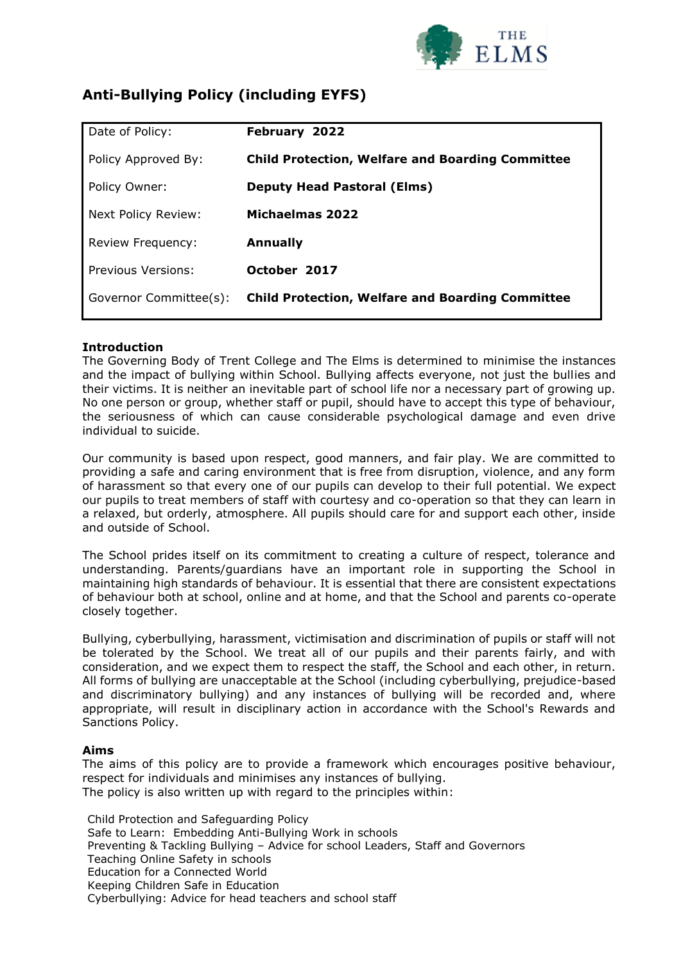

# **Anti-Bullying Policy (including EYFS)**

| Date of Policy:        | February 2022                                           |
|------------------------|---------------------------------------------------------|
| Policy Approved By:    | <b>Child Protection, Welfare and Boarding Committee</b> |
| Policy Owner:          | <b>Deputy Head Pastoral (Elms)</b>                      |
| Next Policy Review:    | Michaelmas 2022                                         |
| Review Frequency:      | <b>Annually</b>                                         |
| Previous Versions:     | October 2017                                            |
| Governor Committee(s): | <b>Child Protection, Welfare and Boarding Committee</b> |

## **Introduction**

The Governing Body of Trent College and The Elms is determined to minimise the instances and the impact of bullying within School. Bullying affects everyone, not just the bullies and their victims. It is neither an inevitable part of school life nor a necessary part of growing up. No one person or group, whether staff or pupil, should have to accept this type of behaviour, the seriousness of which can cause considerable psychological damage and even drive individual to suicide.

Our community is based upon respect, good manners, and fair play. We are committed to providing a safe and caring environment that is free from disruption, violence, and any form of harassment so that every one of our pupils can develop to their full potential. We expect our pupils to treat members of staff with courtesy and co-operation so that they can learn in a relaxed, but orderly, atmosphere. All pupils should care for and support each other, inside and outside of School.

The School prides itself on its commitment to creating a culture of respect, tolerance and understanding. Parents/guardians have an important role in supporting the School in maintaining high standards of behaviour. It is essential that there are consistent expectations of behaviour both at school, online and at home, and that the School and parents co-operate closely together.

Bullying, cyberbullying, harassment, victimisation and discrimination of pupils or staff will not be tolerated by the School. We treat all of our pupils and their parents fairly, and with consideration, and we expect them to respect the staff, the School and each other, in return. All forms of bullying are unacceptable at the School (including cyberbullying, prejudice-based and discriminatory bullying) and any instances of bullying will be recorded and, where appropriate, will result in disciplinary action in accordance with the School's Rewards and Sanctions Policy.

#### **Aims**

The aims of this policy are to provide a framework which encourages positive behaviour, respect for individuals and minimises any instances of bullying. The policy is also written up with regard to the principles within:

Child Protection and Safeguarding Policy Safe to Learn: Embedding Anti-Bullying Work in schools Preventing & Tackling Bullying – Advice for school Leaders, Staff and Governors Teaching Online Safety in schools Education for a Connected World Keeping Children Safe in Education Cyberbullying: Advice for head teachers and school staff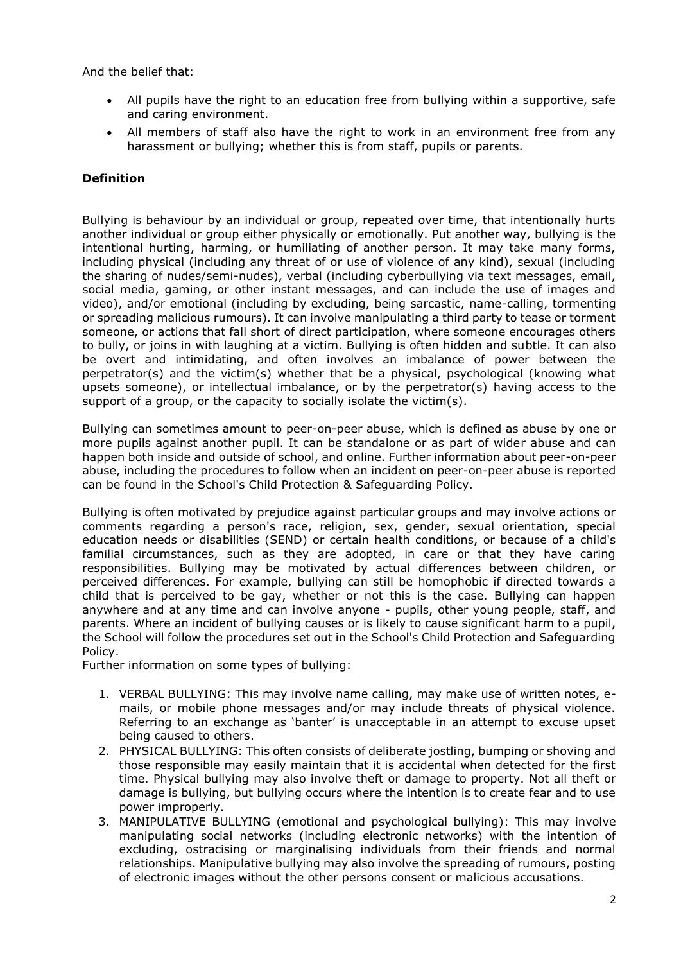And the belief that:

- All pupils have the right to an education free from bullying within a supportive, safe and caring environment.
- All members of staff also have the right to work in an environment free from any harassment or bullying; whether this is from staff, pupils or parents.

## **Definition**

Bullying is behaviour by an individual or group, repeated over time, that intentionally hurts another individual or group either physically or emotionally. Put another way, bullying is the intentional hurting, harming, or humiliating of another person. It may take many forms, including physical (including any threat of or use of violence of any kind), sexual (including the sharing of nudes/semi-nudes), verbal (including cyberbullying via text messages, email, social media, gaming, or other instant messages, and can include the use of images and video), and/or emotional (including by excluding, being sarcastic, name-calling, tormenting or spreading malicious rumours). It can involve manipulating a third party to tease or torment someone, or actions that fall short of direct participation, where someone encourages others to bully, or joins in with laughing at a victim. Bullying is often hidden and subtle. It can also be overt and intimidating, and often involves an imbalance of power between the perpetrator(s) and the victim(s) whether that be a physical, psychological (knowing what upsets someone), or intellectual imbalance, or by the perpetrator(s) having access to the support of a group, or the capacity to socially isolate the victim(s).

Bullying can sometimes amount to peer-on-peer abuse, which is defined as abuse by one or more pupils against another pupil. It can be standalone or as part of wider abuse and can happen both inside and outside of school, and online. Further information about peer-on-peer abuse, including the procedures to follow when an incident on peer-on-peer abuse is reported can be found in the School's Child Protection & Safeguarding Policy.

Bullying is often motivated by prejudice against particular groups and may involve actions or comments regarding a person's race, religion, sex, gender, sexual orientation, special education needs or disabilities (SEND) or certain health conditions, or because of a child's familial circumstances, such as they are adopted, in care or that they have caring responsibilities. Bullying may be motivated by actual differences between children, or perceived differences. For example, bullying can still be homophobic if directed towards a child that is perceived to be gay, whether or not this is the case. Bullying can happen anywhere and at any time and can involve anyone - pupils, other young people, staff, and parents. Where an incident of bullying causes or is likely to cause significant harm to a pupil, the School will follow the procedures set out in the School's Child Protection and Safeguarding Policy.

Further information on some types of bullying:

- 1. VERBAL BULLYING: This may involve name calling, may make use of written notes, emails, or mobile phone messages and/or may include threats of physical violence. Referring to an exchange as 'banter' is unacceptable in an attempt to excuse upset being caused to others.
- 2. PHYSICAL BULLYING: This often consists of deliberate jostling, bumping or shoving and those responsible may easily maintain that it is accidental when detected for the first time. Physical bullying may also involve theft or damage to property. Not all theft or damage is bullying, but bullying occurs where the intention is to create fear and to use power improperly.
- 3. MANIPULATIVE BULLYING (emotional and psychological bullying): This may involve manipulating social networks (including electronic networks) with the intention of excluding, ostracising or marginalising individuals from their friends and normal relationships. Manipulative bullying may also involve the spreading of rumours, posting of electronic images without the other persons consent or malicious accusations.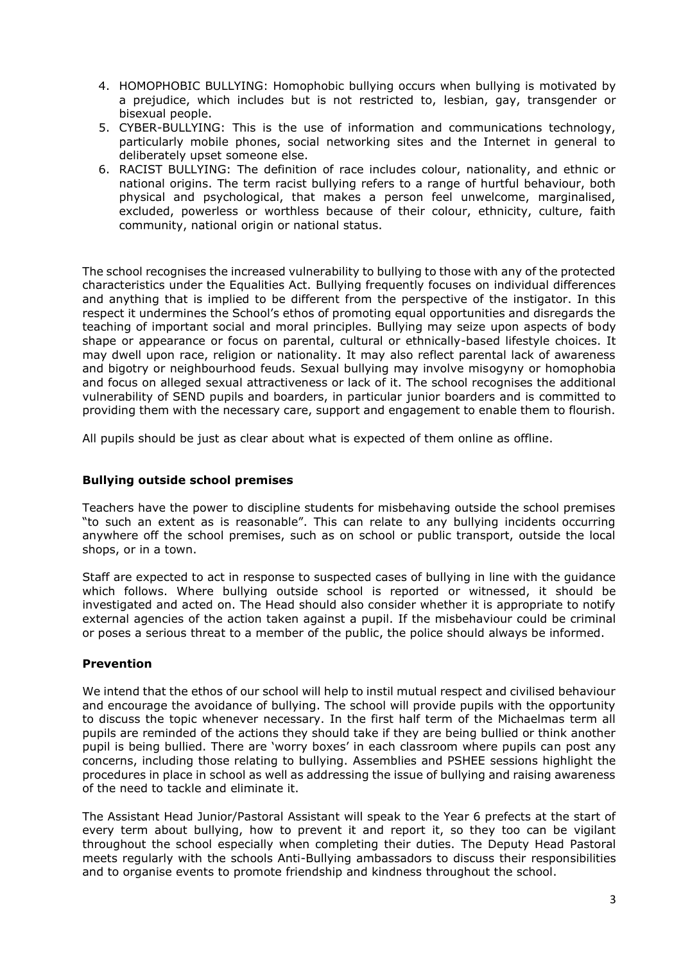- 4. HOMOPHOBIC BULLYING: Homophobic bullying occurs when bullying is motivated by a prejudice, which includes but is not restricted to, lesbian, gay, transgender or bisexual people.
- 5. CYBER-BULLYING: This is the use of information and communications technology, particularly mobile phones, social networking sites and the Internet in general to deliberately upset someone else.
- 6. RACIST BULLYING: The definition of race includes colour, nationality, and ethnic or national origins. The term racist bullying refers to a range of hurtful behaviour, both physical and psychological, that makes a person feel unwelcome, marginalised, excluded, powerless or worthless because of their colour, ethnicity, culture, faith community, national origin or national status.

The school recognises the increased vulnerability to bullying to those with any of the protected characteristics under the Equalities Act. Bullying frequently focuses on individual differences and anything that is implied to be different from the perspective of the instigator. In this respect it undermines the School's ethos of promoting equal opportunities and disregards the teaching of important social and moral principles. Bullying may seize upon aspects of body shape or appearance or focus on parental, cultural or ethnically-based lifestyle choices. It may dwell upon race, religion or nationality. It may also reflect parental lack of awareness and bigotry or neighbourhood feuds. Sexual bullying may involve misogyny or homophobia and focus on alleged sexual attractiveness or lack of it. The school recognises the additional vulnerability of SEND pupils and boarders, in particular junior boarders and is committed to providing them with the necessary care, support and engagement to enable them to flourish.

All pupils should be just as clear about what is expected of them online as offline.

## **Bullying outside school premises**

Teachers have the power to discipline students for misbehaving outside the school premises "to such an extent as is reasonable". This can relate to any bullying incidents occurring anywhere off the school premises, such as on school or public transport, outside the local shops, or in a town.

Staff are expected to act in response to suspected cases of bullying in line with the guidance which follows. Where bullying outside school is reported or witnessed, it should be investigated and acted on. The Head should also consider whether it is appropriate to notify external agencies of the action taken against a pupil. If the misbehaviour could be criminal or poses a serious threat to a member of the public, the police should always be informed.

## **Prevention**

We intend that the ethos of our school will help to instil mutual respect and civilised behaviour and encourage the avoidance of bullying. The school will provide pupils with the opportunity to discuss the topic whenever necessary. In the first half term of the Michaelmas term all pupils are reminded of the actions they should take if they are being bullied or think another pupil is being bullied. There are 'worry boxes' in each classroom where pupils can post any concerns, including those relating to bullying. Assemblies and PSHEE sessions highlight the procedures in place in school as well as addressing the issue of bullying and raising awareness of the need to tackle and eliminate it.

The Assistant Head Junior/Pastoral Assistant will speak to the Year 6 prefects at the start of every term about bullying, how to prevent it and report it, so they too can be vigilant throughout the school especially when completing their duties. The Deputy Head Pastoral meets regularly with the schools Anti-Bullying ambassadors to discuss their responsibilities and to organise events to promote friendship and kindness throughout the school.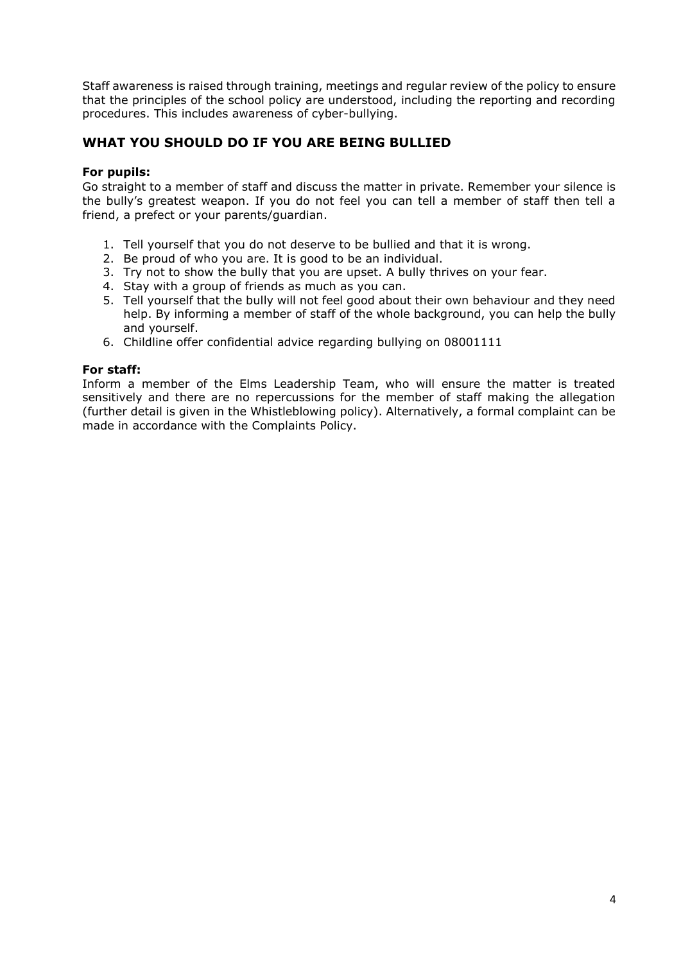Staff awareness is raised through training, meetings and regular review of the policy to ensure that the principles of the school policy are understood, including the reporting and recording procedures. This includes awareness of cyber-bullying.

# **WHAT YOU SHOULD DO IF YOU ARE BEING BULLIED**

#### **For pupils:**

Go straight to a member of staff and discuss the matter in private. Remember your silence is the bully's greatest weapon. If you do not feel you can tell a member of staff then tell a friend, a prefect or your parents/guardian.

- 1. Tell yourself that you do not deserve to be bullied and that it is wrong.
- 2. Be proud of who you are. It is good to be an individual.
- 3. Try not to show the bully that you are upset. A bully thrives on your fear.
- 4. Stay with a group of friends as much as you can.
- 5. Tell yourself that the bully will not feel good about their own behaviour and they need help. By informing a member of staff of the whole background, you can help the bully and yourself.
- 6. Childline offer confidential advice regarding bullying on 08001111

#### **For staff:**

Inform a member of the Elms Leadership Team, who will ensure the matter is treated sensitively and there are no repercussions for the member of staff making the allegation (further detail is given in the Whistleblowing policy). Alternatively, a formal complaint can be made in accordance with the Complaints Policy.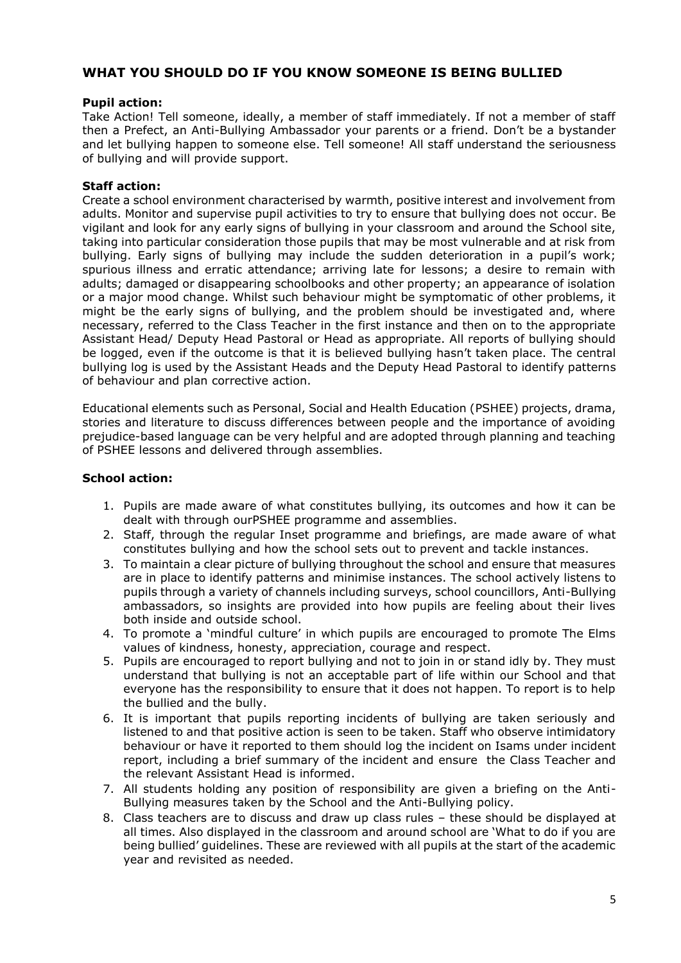# **WHAT YOU SHOULD DO IF YOU KNOW SOMEONE IS BEING BULLIED**

#### **Pupil action:**

Take Action! Tell someone, ideally, a member of staff immediately. If not a member of staff then a Prefect, an Anti-Bullying Ambassador your parents or a friend. Don't be a bystander and let bullying happen to someone else. Tell someone! All staff understand the seriousness of bullying and will provide support.

#### **Staff action:**

Create a school environment characterised by warmth, positive interest and involvement from adults. Monitor and supervise pupil activities to try to ensure that bullying does not occur. Be vigilant and look for any early signs of bullying in your classroom and around the School site, taking into particular consideration those pupils that may be most vulnerable and at risk from bullying. Early signs of bullying may include the sudden deterioration in a pupil's work; spurious illness and erratic attendance; arriving late for lessons; a desire to remain with adults; damaged or disappearing schoolbooks and other property; an appearance of isolation or a major mood change. Whilst such behaviour might be symptomatic of other problems, it might be the early signs of bullying, and the problem should be investigated and, where necessary, referred to the Class Teacher in the first instance and then on to the appropriate Assistant Head/ Deputy Head Pastoral or Head as appropriate. All reports of bullying should be logged, even if the outcome is that it is believed bullying hasn't taken place. The central bullying log is used by the Assistant Heads and the Deputy Head Pastoral to identify patterns of behaviour and plan corrective action.

Educational elements such as Personal, Social and Health Education (PSHEE) projects, drama, stories and literature to discuss differences between people and the importance of avoiding prejudice-based language can be very helpful and are adopted through planning and teaching of PSHEE lessons and delivered through assemblies.

#### **School action:**

- 1. Pupils are made aware of what constitutes bullying, its outcomes and how it can be dealt with through ourPSHEE programme and assemblies.
- 2. Staff, through the regular Inset programme and briefings, are made aware of what constitutes bullying and how the school sets out to prevent and tackle instances.
- 3. To maintain a clear picture of bullying throughout the school and ensure that measures are in place to identify patterns and minimise instances. The school actively listens to pupils through a variety of channels including surveys, school councillors, Anti-Bullying ambassadors, so insights are provided into how pupils are feeling about their lives both inside and outside school.
- 4. To promote a 'mindful culture' in which pupils are encouraged to promote The Elms values of kindness, honesty, appreciation, courage and respect.
- 5. Pupils are encouraged to report bullying and not to join in or stand idly by. They must understand that bullying is not an acceptable part of life within our School and that everyone has the responsibility to ensure that it does not happen. To report is to help the bullied and the bully.
- 6. It is important that pupils reporting incidents of bullying are taken seriously and listened to and that positive action is seen to be taken. Staff who observe intimidatory behaviour or have it reported to them should log the incident on Isams under incident report, including a brief summary of the incident and ensure the Class Teacher and the relevant Assistant Head is informed.
- 7. All students holding any position of responsibility are given a briefing on the Anti-Bullying measures taken by the School and the Anti-Bullying policy.
- 8. Class teachers are to discuss and draw up class rules these should be displayed at all times. Also displayed in the classroom and around school are 'What to do if you are being bullied' guidelines. These are reviewed with all pupils at the start of the academic year and revisited as needed.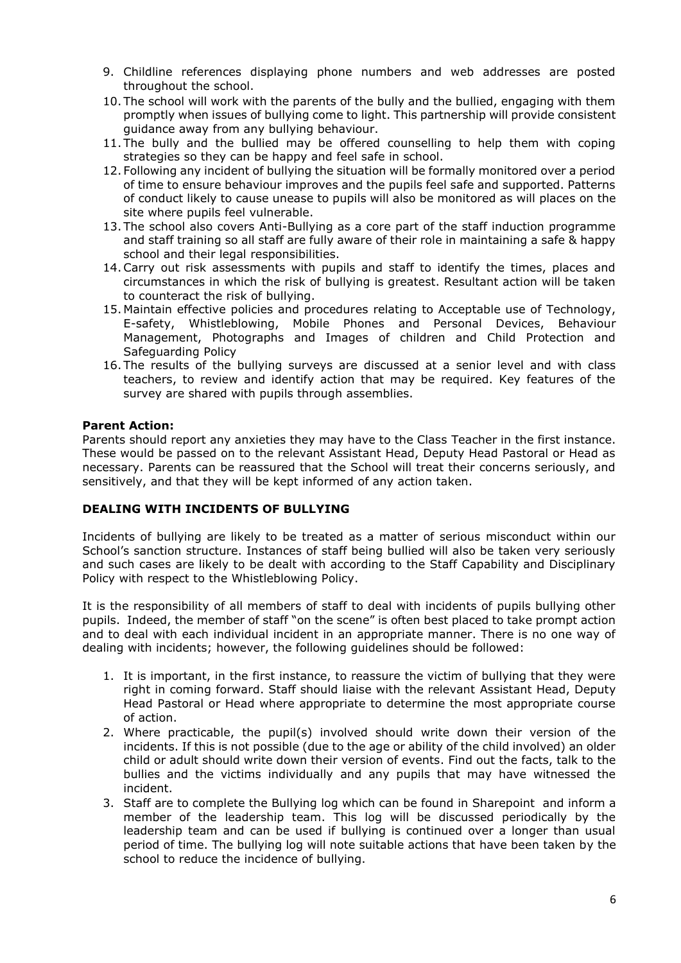- 9. Childline references displaying phone numbers and web addresses are posted throughout the school.
- 10. The school will work with the parents of the bully and the bullied, engaging with them promptly when issues of bullying come to light. This partnership will provide consistent guidance away from any bullying behaviour.
- 11. The bully and the bullied may be offered counselling to help them with coping strategies so they can be happy and feel safe in school.
- 12. Following any incident of bullying the situation will be formally monitored over a period of time to ensure behaviour improves and the pupils feel safe and supported. Patterns of conduct likely to cause unease to pupils will also be monitored as will places on the site where pupils feel vulnerable.
- 13. The school also covers Anti-Bullying as a core part of the staff induction programme and staff training so all staff are fully aware of their role in maintaining a safe & happy school and their legal responsibilities.
- 14.Carry out risk assessments with pupils and staff to identify the times, places and circumstances in which the risk of bullying is greatest. Resultant action will be taken to counteract the risk of bullying.
- 15. Maintain effective policies and procedures relating to Acceptable use of Technology, E-safety, Whistleblowing, Mobile Phones and Personal Devices, Behaviour Management, Photographs and Images of children and Child Protection and Safeguarding Policy
- 16. The results of the bullying surveys are discussed at a senior level and with class teachers, to review and identify action that may be required. Key features of the survey are shared with pupils through assemblies.

## **Parent Action:**

Parents should report any anxieties they may have to the Class Teacher in the first instance. These would be passed on to the relevant Assistant Head, Deputy Head Pastoral or Head as necessary. Parents can be reassured that the School will treat their concerns seriously, and sensitively, and that they will be kept informed of any action taken.

# **DEALING WITH INCIDENTS OF BULLYING**

Incidents of bullying are likely to be treated as a matter of serious misconduct within our School's sanction structure. Instances of staff being bullied will also be taken very seriously and such cases are likely to be dealt with according to the Staff Capability and Disciplinary Policy with respect to the Whistleblowing Policy.

It is the responsibility of all members of staff to deal with incidents of pupils bullying other pupils. Indeed, the member of staff "on the scene" is often best placed to take prompt action and to deal with each individual incident in an appropriate manner. There is no one way of dealing with incidents; however, the following guidelines should be followed:

- 1. It is important, in the first instance, to reassure the victim of bullying that they were right in coming forward. Staff should liaise with the relevant Assistant Head, Deputy Head Pastoral or Head where appropriate to determine the most appropriate course of action.
- 2. Where practicable, the pupil(s) involved should write down their version of the incidents. If this is not possible (due to the age or ability of the child involved) an older child or adult should write down their version of events. Find out the facts, talk to the bullies and the victims individually and any pupils that may have witnessed the incident.
- 3. Staff are to complete the Bullying log which can be found in Sharepoint and inform a member of the leadership team. This log will be discussed periodically by the leadership team and can be used if bullying is continued over a longer than usual period of time. The bullying log will note suitable actions that have been taken by the school to reduce the incidence of bullying.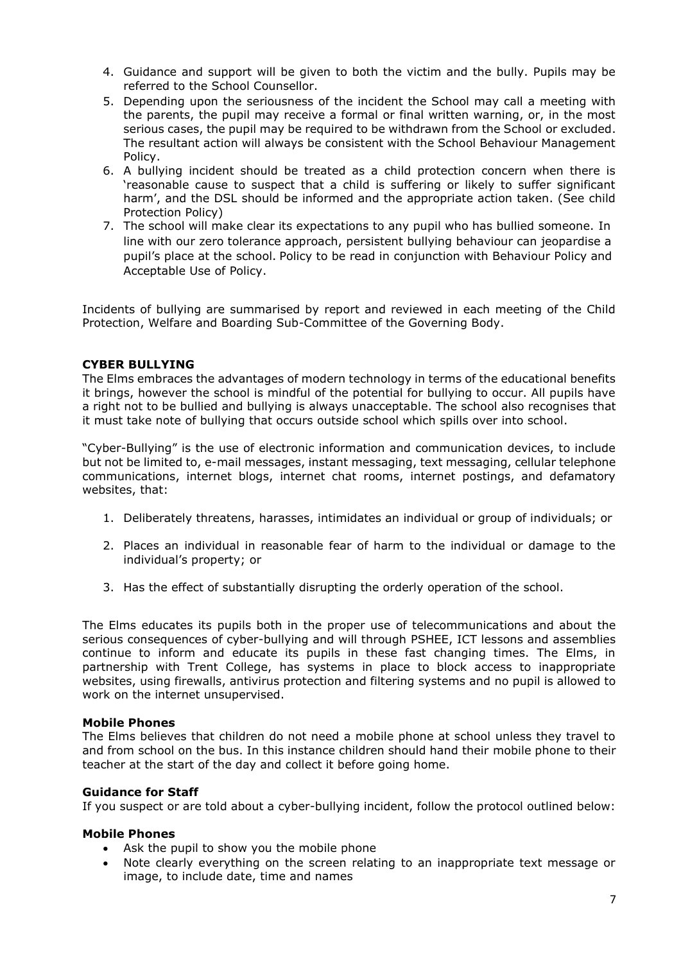- 4. Guidance and support will be given to both the victim and the bully. Pupils may be referred to the School Counsellor.
- 5. Depending upon the seriousness of the incident the School may call a meeting with the parents, the pupil may receive a formal or final written warning, or, in the most serious cases, the pupil may be required to be withdrawn from the School or excluded. The resultant action will always be consistent with the School Behaviour Management Policy.
- 6. A bullying incident should be treated as a child protection concern when there is 'reasonable cause to suspect that a child is suffering or likely to suffer significant harm', and the DSL should be informed and the appropriate action taken. (See child Protection Policy)
- 7. The school will make clear its expectations to any pupil who has bullied someone. In line with our zero tolerance approach, persistent bullying behaviour can jeopardise a pupil's place at the school. Policy to be read in conjunction with Behaviour Policy and Acceptable Use of Policy.

Incidents of bullying are summarised by report and reviewed in each meeting of the Child Protection, Welfare and Boarding Sub-Committee of the Governing Body.

## **CYBER BULLYING**

The Elms embraces the advantages of modern technology in terms of the educational benefits it brings, however the school is mindful of the potential for bullying to occur. All pupils have a right not to be bullied and bullying is always unacceptable. The school also recognises that it must take note of bullying that occurs outside school which spills over into school.

"Cyber-Bullying" is the use of electronic information and communication devices, to include but not be limited to, e-mail messages, instant messaging, text messaging, cellular telephone communications, internet blogs, internet chat rooms, internet postings, and defamatory websites, that:

- 1. Deliberately threatens, harasses, intimidates an individual or group of individuals; or
- 2. Places an individual in reasonable fear of harm to the individual or damage to the individual's property; or
- 3. Has the effect of substantially disrupting the orderly operation of the school.

The Elms educates its pupils both in the proper use of telecommunications and about the serious consequences of cyber-bullying and will through PSHEE, ICT lessons and assemblies continue to inform and educate its pupils in these fast changing times. The Elms, in partnership with Trent College, has systems in place to block access to inappropriate websites, using firewalls, antivirus protection and filtering systems and no pupil is allowed to work on the internet unsupervised.

#### **Mobile Phones**

The Elms believes that children do not need a mobile phone at school unless they travel to and from school on the bus. In this instance children should hand their mobile phone to their teacher at the start of the day and collect it before going home.

## **Guidance for Staff**

If you suspect or are told about a cyber-bullying incident, follow the protocol outlined below:

#### **Mobile Phones**

- Ask the pupil to show you the mobile phone
- Note clearly everything on the screen relating to an inappropriate text message or image, to include date, time and names